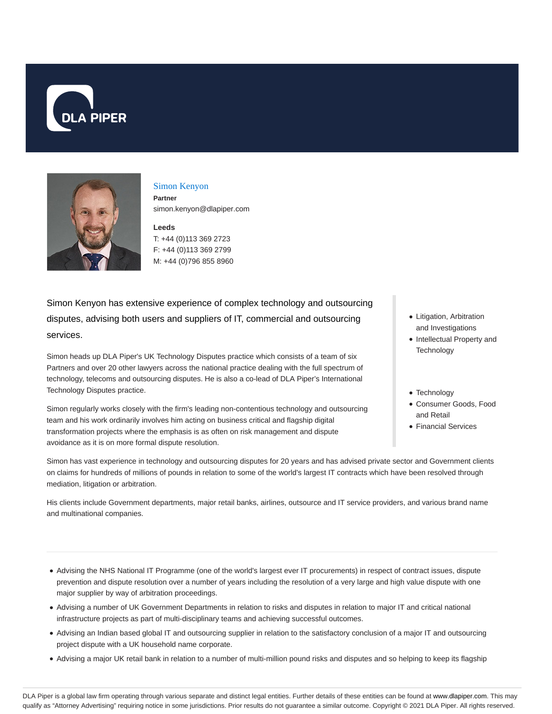



### Simon Kenyon

**Partner** simon.kenyon@dlapiper.com

#### **Leeds**

T: +44 (0)113 369 2723 F: +44 (0)113 369 2799 M: +44 (0)796 855 8960

Simon Kenyon has extensive experience of complex technology and outsourcing disputes, advising both users and suppliers of IT, commercial and outsourcing services.

Simon heads up DLA Piper's UK Technology Disputes practice which consists of a team of six Partners and over 20 other lawyers across the national practice dealing with the full spectrum of technology, telecoms and outsourcing disputes. He is also a co-lead of DLA Piper's International Technology Disputes practice.

Simon regularly works closely with the firm's leading non-contentious technology and outsourcing team and his work ordinarily involves him acting on business critical and flagship digital transformation projects where the emphasis is as often on risk management and dispute avoidance as it is on more formal dispute resolution.

- Litigation, Arbitration and Investigations
- Intellectual Property and **Technology**
- Technology
- Consumer Goods, Food and Retail
- Financial Services

Simon has vast experience in technology and outsourcing disputes for 20 years and has advised private sector and Government clients on claims for hundreds of millions of pounds in relation to some of the world's largest IT contracts which have been resolved through mediation, litigation or arbitration.

His clients include Government departments, major retail banks, airlines, outsource and IT service providers, and various brand name and multinational companies.

- Advising the NHS National IT Programme (one of the world's largest ever IT procurements) in respect of contract issues, dispute prevention and dispute resolution over a number of years including the resolution of a very large and high value dispute with one major supplier by way of arbitration proceedings.
- Advising a number of UK Government Departments in relation to risks and disputes in relation to major IT and critical national infrastructure projects as part of multi-disciplinary teams and achieving successful outcomes.
- Advising an Indian based global IT and outsourcing supplier in relation to the satisfactory conclusion of a major IT and outsourcing project dispute with a UK household name corporate.
- Advising a major UK retail bank in relation to a number of multi-million pound risks and disputes and so helping to keep its flagship

DLA Piper is a global law firm operating through various separate and distinct legal entities. Further details of these entities can be found at www.dlapiper.com. This may qualify as "Attorney Advertising" requiring notice in some jurisdictions. Prior results do not guarantee a similar outcome. Copyright @ 2021 DLA Piper. All rights reserved.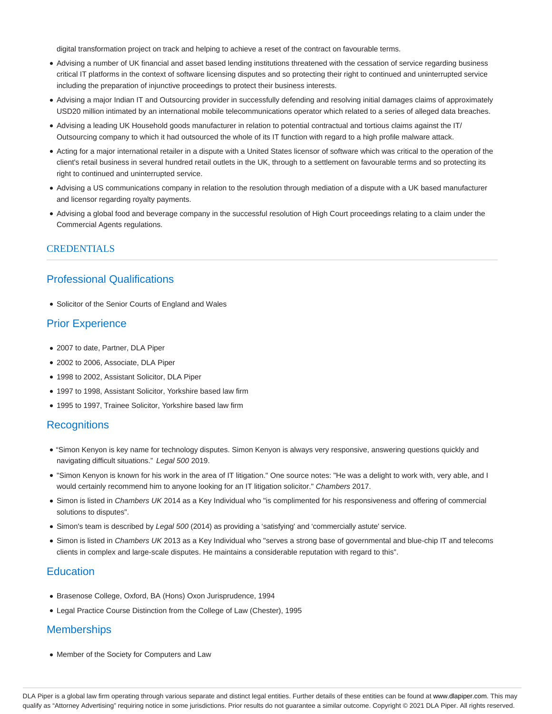digital transformation project on track and helping to achieve a reset of the contract on favourable terms.

- Advising a number of UK financial and asset based lending institutions threatened with the cessation of service regarding business critical IT platforms in the context of software licensing disputes and so protecting their right to continued and uninterrupted service including the preparation of injunctive proceedings to protect their business interests.
- Advising a major Indian IT and Outsourcing provider in successfully defending and resolving initial damages claims of approximately USD20 million intimated by an international mobile telecommunications operator which related to a series of alleged data breaches.
- Advising a leading UK Household goods manufacturer in relation to potential contractual and tortious claims against the IT/ Outsourcing company to which it had outsourced the whole of its IT function with regard to a high profile malware attack.
- Acting for a major international retailer in a dispute with a United States licensor of software which was critical to the operation of the client's retail business in several hundred retail outlets in the UK, through to a settlement on favourable terms and so protecting its right to continued and uninterrupted service.
- Advising a US communications company in relation to the resolution through mediation of a dispute with a UK based manufacturer and licensor regarding royalty payments.
- Advising a global food and beverage company in the successful resolution of High Court proceedings relating to a claim under the Commercial Agents regulations.

#### **CREDENTIALS**

# Professional Qualifications

• Solicitor of the Senior Courts of England and Wales

# Prior Experience

- 2007 to date, Partner, DLA Piper
- 2002 to 2006, Associate, DLA Piper
- 1998 to 2002, Assistant Solicitor, DLA Piper
- 1997 to 1998, Assistant Solicitor, Yorkshire based law firm
- 1995 to 1997, Trainee Solicitor, Yorkshire based law firm

### **Recognitions**

- "Simon Kenyon is key name for technology disputes. Simon Kenyon is always very responsive, answering questions quickly and navigating difficult situations." Legal 500 2019.
- "Simon Kenyon is known for his work in the area of IT litigation." One source notes: "He was a delight to work with, very able, and I would certainly recommend him to anyone looking for an IT litigation solicitor." Chambers 2017.
- Simon is listed in Chambers UK 2014 as a Key Individual who "is complimented for his responsiveness and offering of commercial solutions to disputes".
- Simon's team is described by Legal 500 (2014) as providing a 'satisfying' and 'commercially astute' service.
- Simon is listed in Chambers UK 2013 as a Key Individual who "serves a strong base of governmental and blue-chip IT and telecoms clients in complex and large-scale disputes. He maintains a considerable reputation with regard to this".

### **Education**

- Brasenose College, Oxford, BA (Hons) Oxon Jurisprudence, 1994
- Legal Practice Course Distinction from the College of Law (Chester), 1995

### **Memberships**

Member of the Society for Computers and Law